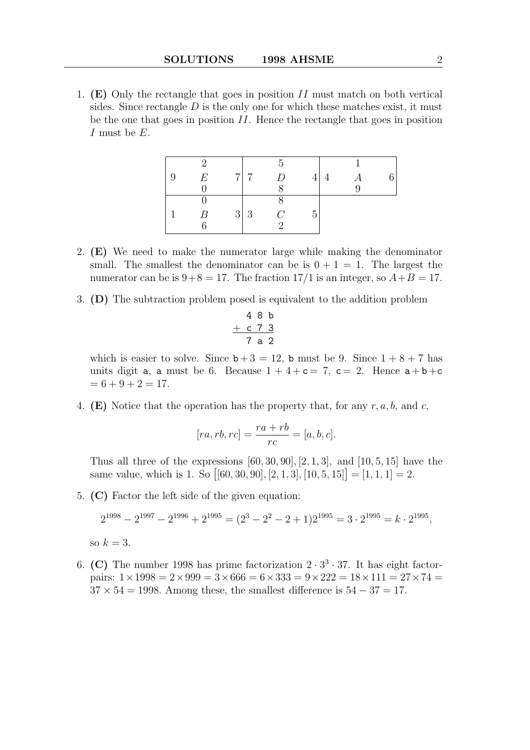1. (E) Only the rectangle that goes in position  $II$  must match on both vertical sides. Since rectangle  $D$  is the only one for which these matches exist, it must be the one that goes in position II. Hence the rectangle that goes in position I must be E.

| E | 7 7        | D              | 4' | 4 |  |
|---|------------|----------------|----|---|--|
|   |            |                |    |   |  |
|   |            |                |    |   |  |
| R | $3 \mid 3$ | $\overline{C}$ | 5  |   |  |
|   |            | $\Omega$       |    |   |  |

- 2. (E) We need to make the numerator large while making the denominator small. The smallest the denominator can be is  $0 + 1 = 1$ . The largest the numerator can be is  $9+8=17$ . The fraction  $17/1$  is an integer, so  $A+B=17$ .
- 3. (D) The subtraction problem posed is equivalent to the addition problem

$$
\begin{array}{c c c c c c c c c c c c c c c c} & 4 & 8 & b \\ + & c & 7 & 3 \\ \hline & 7 & a & 2 \end{array}
$$

which is easier to solve. Since  $b+3 = 12$ , b must be 9. Since  $1+8+7$  has units digit a, a must be 6. Because  $1 + 4 + c = 7$ ,  $c = 2$ . Hence  $a + b + c$  $= 6 + 9 + 2 = 17.$ 

4. (E) Notice that the operation has the property that, for any  $r, a, b$ , and c,

$$
[ra, rb, rc] = \frac{ra + rb}{rc} = [a, b, c].
$$

Thus all three of the expressions  $[60, 30, 90]$ ,  $[2, 1, 3]$ , and  $[10, 5, 15]$  have the same value, which is 1. So  $[[60, 30, 90], [2, 1, 3], [10, 5, 15]] = [1, 1, 1] = 2.$ 

5. (C) Factor the left side of the given equation:

$$
2^{1998} - 2^{1997} - 2^{1996} + 2^{1995} = (2^3 - 2^2 - 2 + 1)2^{1995} = 3 \cdot 2^{1995} = k \cdot 2^{1995},
$$

so  $k=3$ .

6. (C) The number 1998 has prime factorization  $2 \cdot 3^3 \cdot 37$ . It has eight factorpairs:  $1 \times 1998 = 2 \times 999 = 3 \times 666 = 6 \times 333 = 9 \times 222 = 18 \times 111 = 27 \times 74 = 111$  $37 \times 54 = 1998$ . Among these, the smallest difference is  $54 - 37 = 17$ .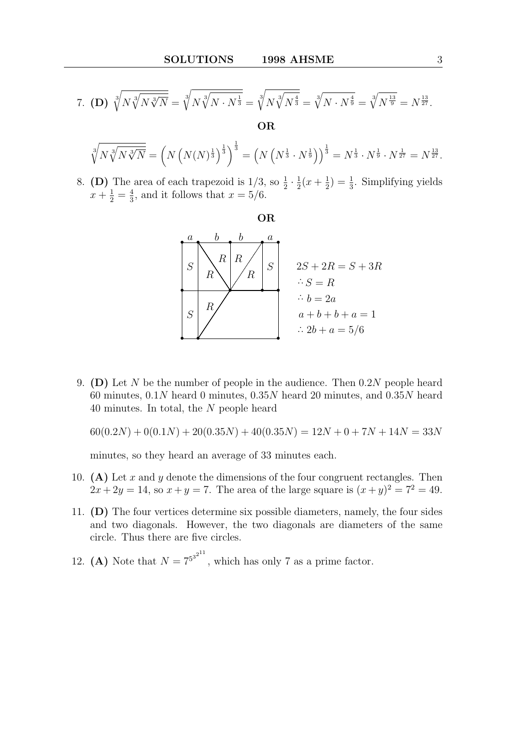7. **(D)** 
$$
\sqrt[3]{N\sqrt[3]{N\sqrt[3]{N}}}
$$
 =  $\sqrt[3]{N\sqrt[3]{N \cdot N^{\frac{1}{3}}}}$  =  $\sqrt[3]{N\sqrt[3]{N^{\frac{4}{3}}}}$  =  $\sqrt[3]{N \cdot N^{\frac{4}{9}}}$  =  $\sqrt[3]{N^{\frac{13}{9}}}$  =  $N^{\frac{13}{27}}$ .  
OR

$$
\sqrt[3]{N\sqrt[3]{N\sqrt[3]{N}}}\ = \left(N\left(N(N)^{\frac{1}{3}}\right)^{\frac{1}{3}}\right)^{\frac{1}{3}} = \left(N\left(N^{\frac{1}{3}} \cdot N^{\frac{1}{9}}\right)\right)^{\frac{1}{3}} = N^{\frac{1}{3}} \cdot N^{\frac{1}{9}} \cdot N^{\frac{1}{27}} = N^{\frac{13}{27}}.
$$

8. (D) The area of each trapezoid is  $1/3$ , so  $\frac{1}{2} \cdot \frac{1}{2}$  $rac{1}{2}(x+\frac{1}{2})$  $(\frac{1}{2}) = \frac{1}{3}$ . Simplifying yields  $x+\frac{1}{2}=\frac{4}{3}$  $\frac{4}{3}$ , and it follows that  $x = 5/6$ .

OR



9. (D) Let N be the number of people in the audience. Then  $0.2N$  people heard 60 minutes,  $0.1N$  heard 0 minutes,  $0.35N$  heard 20 minutes, and  $0.35N$  heard 40 minutes. In total, the N people heard

 $60(0.2N) + 0(0.1N) + 20(0.35N) + 40(0.35N) = 12N + 0 + 7N + 14N = 33N$ 

minutes, so they heard an average of 33 minutes each.

- 10. (A) Let  $x$  and  $y$  denote the dimensions of the four congruent rectangles. Then  $2x + 2y = 14$ , so  $x + y = 7$ . The area of the large square is  $(x + y)^2 = 7^2 = 49$ .
- 11. (D) The four vertices determine six possible diameters, namely, the four sides and two diagonals. However, the two diagonals are diameters of the same circle. Thus there are five circles.
- 12. (A) Note that  $N = 7^{5^{3^{2^{11}}}}$ , which has only 7 as a prime factor.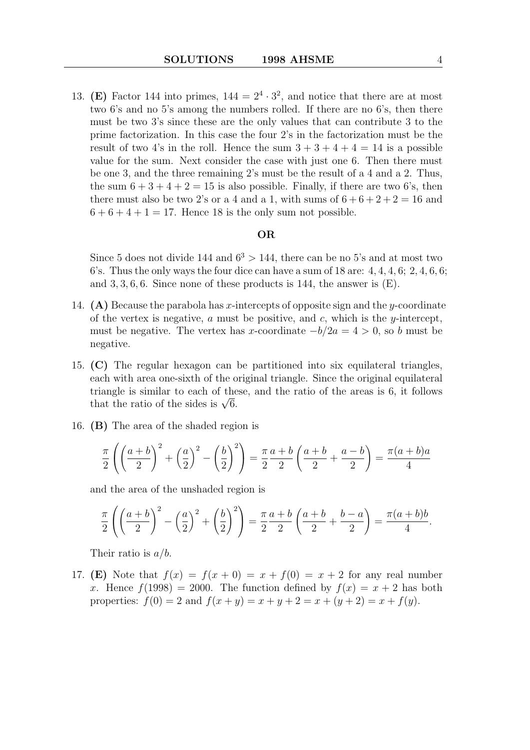13. (E) Factor 144 into primes,  $144 = 2^4 \cdot 3^2$ , and notice that there are at most two 6's and no 5's among the numbers rolled. If there are no 6's, then there must be two 3's since these are the only values that can contribute 3 to the prime factorization. In this case the four 2's in the factorization must be the result of two 4's in the roll. Hence the sum  $3 + 3 + 4 + 4 = 14$  is a possible value for the sum. Next consider the case with just one 6. Then there must be one 3, and the three remaining 2's must be the result of a 4 and a 2. Thus, the sum  $6 + 3 + 4 + 2 = 15$  is also possible. Finally, if there are two 6's, then there must also be two 2's or a 4 and a 1, with sums of  $6+6+2+2=16$  and  $6+6+4+1=17$ . Hence 18 is the only sum not possible.

## OR

Since 5 does not divide 144 and  $6^3 > 144$ , there can be no 5's and at most two 6's. Thus the only ways the four dice can have a sum of  $18$  are:  $4, 4, 4, 6$ ;  $2, 4, 6, 6$ ; and  $3, 3, 6, 6$ . Since none of these products is 144, the answer is  $(E)$ .

- 14. (A) Because the parabola has x-intercepts of opposite sign and the y-coordinate of the vertex is negative, a must be positive, and c, which is the  $y$ -intercept, must be negative. The vertex has x-coordinate  $-b/2a = 4 > 0$ , so b must be negative.
- 15. (C) The regular hexagon can be partitioned into six equilateral triangles, each with area one-sixth of the original triangle. Since the original equilateral triangle is similar to each of these, and the ratio of the areas is 6, it follows triangle is similar to each of the<br>that the ratio of the sides is  $\sqrt{6}$ .
- 16. (B) The area of the shaded region is

$$
\frac{\pi}{2}\left(\left(\frac{a+b}{2}\right)^2+\left(\frac{a}{2}\right)^2-\left(\frac{b}{2}\right)^2\right)=\frac{\pi}{2}\frac{a+b}{2}\left(\frac{a+b}{2}+\frac{a-b}{2}\right)=\frac{\pi(a+b)a}{4}
$$

and the area of the unshaded region is

$$
\frac{\pi}{2}\left(\left(\frac{a+b}{2}\right)^2 - \left(\frac{a}{2}\right)^2 + \left(\frac{b}{2}\right)^2\right) = \frac{\pi}{2}\frac{a+b}{2}\left(\frac{a+b}{2} + \frac{b-a}{2}\right) = \frac{\pi(a+b)b}{4}.
$$

Their ratio is  $a/b$ .

17. (E) Note that  $f(x) = f(x+0) = x+f(0) = x+2$  for any real number x. Hence  $f(1998) = 2000$ . The function defined by  $f(x) = x + 2$  has both properties:  $f(0) = 2$  and  $f(x + y) = x + y + 2 = x + (y + 2) = x + f(y)$ .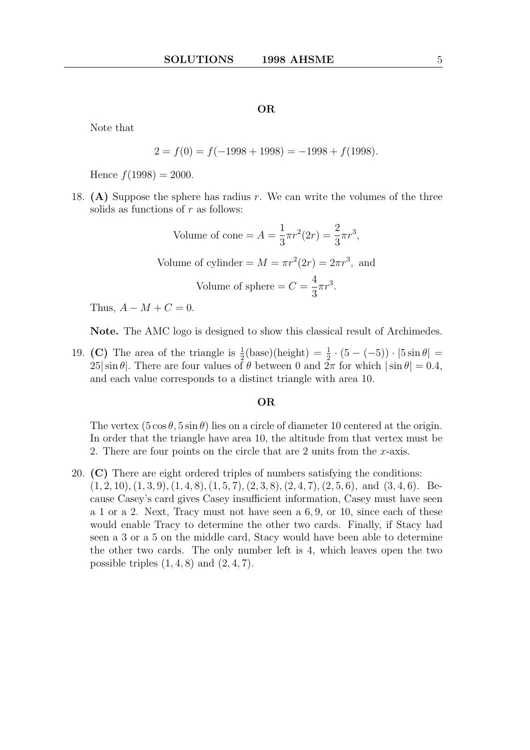### OR

Note that

$$
2 = f(0) = f(-1998 + 1998) = -1998 + f(1998).
$$

Hence  $f(1998) = 2000$ .

18. (A) Suppose the sphere has radius r. We can write the volumes of the three solids as functions of  $r$  as follows:

Volume of cone = 
$$
A = \frac{1}{3}\pi r^2 (2r) = \frac{2}{3}\pi r^3
$$
,  
Volume of cylinder =  $M = \pi r^2 (2r) = 2\pi r^3$ , and  
Volume of sphere =  $C = \frac{4}{3}\pi r^3$ .

Thus,  $A - M + C = 0$ .

Note. The AMC logo is designed to show this classical result of Archimedes.

19. (C) The area of the triangle is  $\frac{1}{2}$ (base)(height) =  $\frac{1}{2} \cdot (5 - (-5)) \cdot |5 \sin \theta|$  =  $25|\sin\theta|$ . There are four values of  $\theta$  between 0 and  $2\pi$  for which  $|\sin\theta| = 0.4$ , and each value corresponds to a distinct triangle with area 10.

## OR

The vertex  $(5 \cos \theta, 5 \sin \theta)$  lies on a circle of diameter 10 centered at the origin. In order that the triangle have area 10, the altitude from that vertex must be 2. There are four points on the circle that are 2 units from the  $x$ -axis.

20. (C) There are eight ordered triples of numbers satisfying the conditions:  $(1, 2, 10), (1, 3, 9), (1, 4, 8), (1, 5, 7), (2, 3, 8), (2, 4, 7), (2, 5, 6), \text{ and } (3, 4, 6).$  Because Casey's card gives Casey insufficient information, Casey must have seen a 1 or a 2. Next, Tracy must not have seen a 6, 9, or 10, since each of these would enable Tracy to determine the other two cards. Finally, if Stacy had seen a 3 or a 5 on the middle card, Stacy would have been able to determine the other two cards. The only number left is 4, which leaves open the two possible triples  $(1, 4, 8)$  and  $(2, 4, 7)$ .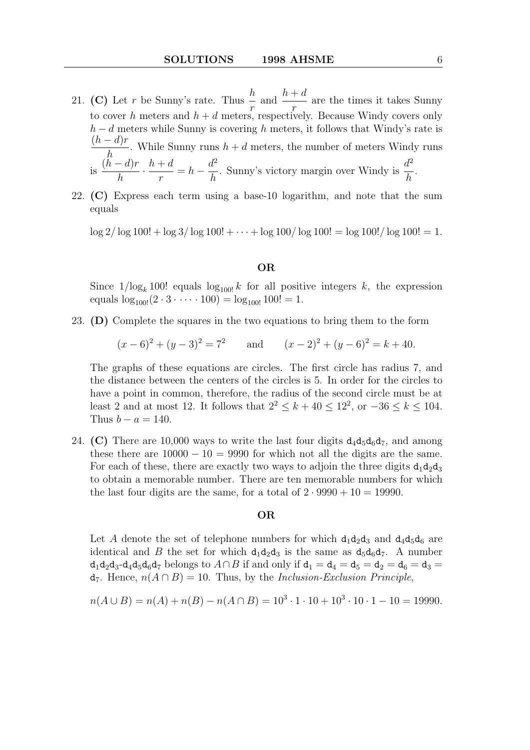- 21. (C) Let r be Sunny's rate. Thus  $\frac{h}{h}$ r and  $\frac{h+d}{h}$ r are the times it takes Sunny to cover h meters and  $h + d$  meters, respectively. Because Windy covers only  $h - d$  meters while Sunny is covering h meters, it follows that Windy's rate is  $(h - d)r$ h . While Sunny runs  $h + d$  meters, the number of meters Windy runs is  $(h - d)r$ h  $\frac{h+d}{h}$ r  $= h - \frac{d^2}{l}$ h . Sunny's victory margin over Windy is  $\frac{d^2}{dt^2}$ h .
- 22. (C) Express each term using a base-10 logarithm, and note that the sum equals

 $\log 2/\log 100! + \log 3/\log 100! + \cdots + \log 100/\log 100! = \log 100!/ \log 100! = 1.$ 

## OR

Since  $1/\log_k 100!$  equals  $\log_{100} k$  for all positive integers k, the expression equals  $\log_{100!}(2 \cdot 3 \cdot \cdots \cdot 100) = \log_{100!} 100! = 1.$ 

23. (D) Complete the squares in the two equations to bring them to the form

 $(x-6)^2 + (y-3)^2 = 7^2$  and  $(x-2)^2 + (y-6)^2 = k + 40$ .

The graphs of these equations are circles. The first circle has radius 7, and the distance between the centers of the circles is 5. In order for the circles to have a point in common, therefore, the radius of the second circle must be at least 2 and at most 12. It follows that  $2^2 \leq k + 40 \leq 12^2$ , or  $-36 \leq k \leq 104$ . Thus  $b - a = 140$ .

24. (C) There are 10,000 ways to write the last four digits  $d_4d_5d_6d_7$ , and among these there are  $10000 - 10 = 9990$  for which not all the digits are the same. For each of these, there are exactly two ways to adjoin the three digits  $d_1d_2d_3$ to obtain a memorable number. There are ten memorable numbers for which the last four digits are the same, for a total of  $2 \cdot 9990 + 10 = 19990$ .

## OR

Let A denote the set of telephone numbers for which  $d_1d_2d_3$  and  $d_4d_5d_6$  are identical and B the set for which  $d_1d_2d_3$  is the same as  $d_5d_6d_7$ . A number  $d_1d_2d_3-d_4d_5d_6d_7$  belongs to  $A\cap B$  if and only if  $d_1 = d_4 = d_5 = d_2 = d_6 = d_3 =$  $d_7$ . Hence,  $n(A \cap B) = 10$ . Thus, by the *Inclusion-Exclusion Principle*,

$$
n(A \cup B) = n(A) + n(B) - n(A \cap B) = 103 \cdot 1 \cdot 10 + 103 \cdot 10 \cdot 1 - 10 = 19990.
$$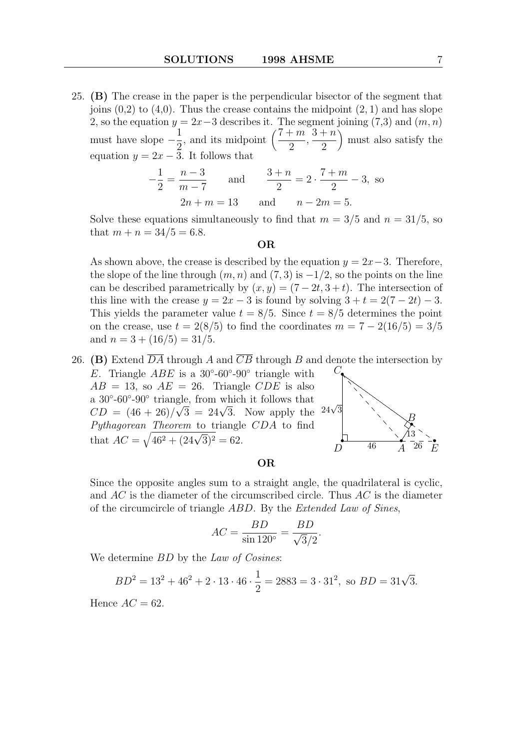25. (B) The crease in the paper is the perpendicular bisector of the segment that joins  $(0,2)$  to  $(4,0)$ . Thus the crease contains the midpoint  $(2,1)$  and has slope 2, so the equation  $y = 2x-3$  describes it. The segment joining (7,3) and  $(m, n)$ must have slope  $-\frac{1}{2}$ 2 , and its midpoint  $\left(\frac{7+m}{2}\right)$ 2 ,  $3 + n$ 2 must also satisfy the equation  $y = 2x - 3$ . It follows that

$$
-\frac{1}{2} = \frac{n-3}{m-7} \quad \text{and} \quad \frac{3+n}{2} = 2 \cdot \frac{7+m}{2} - 3, \text{ so}
$$
  
 
$$
2n + m = 13 \quad \text{and} \quad n - 2m = 5.
$$

Solve these equations simultaneously to find that  $m = 3/5$  and  $n = 31/5$ , so that  $m + n = 34/5 = 6.8$ .

#### OR

As shown above, the crease is described by the equation  $y = 2x-3$ . Therefore, the slope of the line through  $(m, n)$  and  $(7, 3)$  is  $-1/2$ , so the points on the line can be described parametrically by  $(x, y) = (7 - 2t, 3 + t)$ . The intersection of this line with the crease  $y = 2x - 3$  is found by solving  $3 + t = 2(7 - 2t) - 3$ . This yields the parameter value  $t = 8/5$ . Since  $t = 8/5$  determines the point on the crease, use  $t = 2(8/5)$  to find the coordinates  $m = 7 - 2(16/5) = 3/5$ and  $n = 3 + (16/5) = 31/5$ .

26. (B) Extend  $\overline{DA}$  through A and  $\overline{CB}$  through B and denote the intersection by E. Triangle  $ABE$  is a 30°-60°-90° triangle with

 $AB = 13$ , so  $AE = 26$ . Triangle CDE is also a  $30°-60°-90°$  triangle, from which it follows that a 30--00--90 triangle, from which it follows that<br>  $CD = (46 + 26)/\sqrt{3} = 24\sqrt{3}$ . Now apply the Pythagorean Theorem to triangle CDA to find that  $AC = \sqrt{46^2 + (24\sqrt{3})^2} = 62.$  $24\sqrt{3}$ 



# OR

Since the opposite angles sum to a straight angle, the quadrilateral is cyclic, and  $AC$  is the diameter of the circumscribed circle. Thus  $AC$  is the diameter of the circumcircle of triangle ABD. By the Extended Law of Sines,

$$
AC = \frac{BD}{\sin 120^\circ} = \frac{BD}{\sqrt{3}/2}.
$$

We determine  $BD$  by the Law of Cosines:

$$
BD2 = 132 + 462 + 2 \cdot 13 \cdot 46 \cdot \frac{1}{2} = 2883 = 3 \cdot 312, \text{ so } BD = 31\sqrt{3}.
$$

Hence  $AC = 62$ .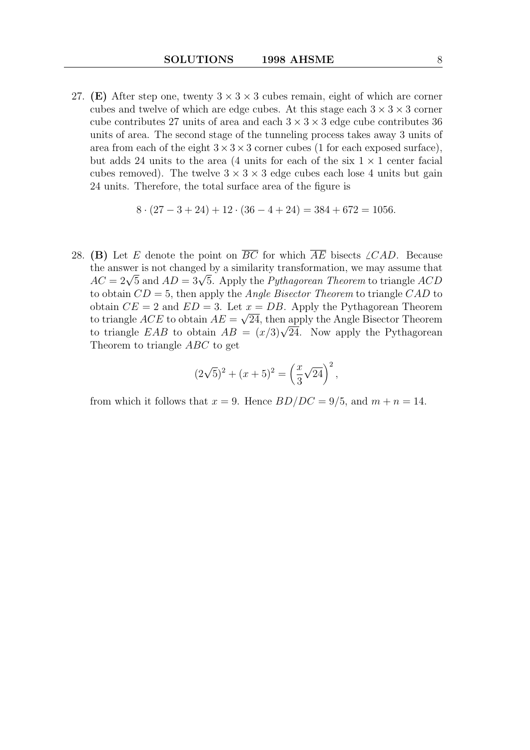27. (E) After step one, twenty  $3 \times 3 \times 3$  cubes remain, eight of which are corner cubes and twelve of which are edge cubes. At this stage each  $3 \times 3 \times 3$  corner cube contributes 27 units of area and each  $3 \times 3 \times 3$  edge cube contributes 36 units of area. The second stage of the tunneling process takes away 3 units of area from each of the eight  $3 \times 3 \times 3$  corner cubes (1 for each exposed surface), but adds 24 units to the area (4 units for each of the six  $1 \times 1$  center facial cubes removed). The twelve  $3 \times 3 \times 3$  edge cubes each lose 4 units but gain 24 units. Therefore, the total surface area of the figure is

$$
8 \cdot (27 - 3 + 24) + 12 \cdot (36 - 4 + 24) = 384 + 672 = 1056.
$$

28. (B) Let E denote the point on  $\overline{BC}$  for which  $\overline{AE}$  bisects  $\angle CAD$ . Because the answer is not changed by a similarity transformation, we may assume that the answer is not changed by a similarity transformation, we may assume that  $AC = 2\sqrt{5}$  and  $AD = 3\sqrt{5}$ . Apply the *Pythagorean Theorem* to triangle ACD to obtain  $CD = 5$ , then apply the *Angle Bisector Theorem* to triangle  $CAD$  to obtain  $CE = 2$  and  $ED = 3$ . Let  $x = DB$ . Apply the Pythagorean Theorem to triangle  $ACE$  to obtain  $AE = \sqrt{24}$ , then apply the Angle Bisector Theorem to triangle ACE to obtain  $AE = \sqrt{24}$ , then apply the Angle Bisector Theorem<br>to triangle EAB to obtain  $AB = (x/3)\sqrt{24}$ . Now apply the Pythagorean Theorem to triangle ABC to get

$$
(2\sqrt{5})^2 + (x+5)^2 = \left(\frac{x}{3}\sqrt{24}\right)^2,
$$

from which it follows that  $x = 9$ . Hence  $BD/DC = 9/5$ , and  $m + n = 14$ .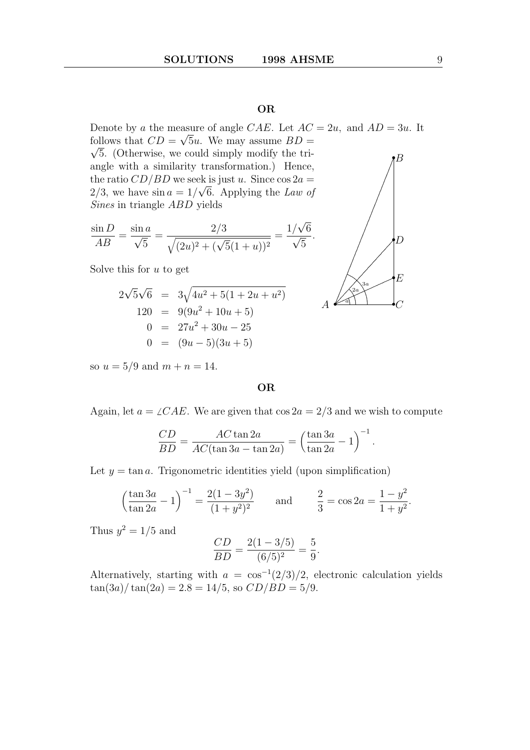# OR

Denote by a the measure of angle CAE. Let  $AC = 2u$ , and  $AD = 3u$ . It follows that  $CD = \sqrt{5u}$ . We may assume  $BD = \sqrt{5u}$  $\sqrt{5}$ . (Otherwise, we could simply modify the triangle with a similarity transformation.) Hence, the ratio  $CD/BD$  we seek is just u. Since  $\cos 2a =$  $2/3$ , we have  $\sin a = 1/\sqrt{6}$ . Applying the Law of Sines in triangle ABD yields .  $\imath B$ 

$$
\frac{\sin D}{AB} = \frac{\sin a}{\sqrt{5}} = \frac{2/3}{\sqrt{(2u)^2 + (\sqrt{5}(1+u))^2}} = \frac{1/\sqrt{6}}{\sqrt{5}}
$$

Solve this for  $u$  to get

$$
2\sqrt{5}\sqrt{6} = 3\sqrt{4u^2 + 5(1 + 2u + u^2)}
$$
  
\n
$$
120 = 9(9u^2 + 10u + 5)
$$
  
\n
$$
0 = 27u^2 + 30u - 25
$$
  
\n
$$
0 = (9u - 5)(3u + 5)
$$

2a 3a . . ... ... ... ..... .......  $\mathbb{a}$ 2a 3a  $A \triangleleft$  $\bullet_C$ •D •E

.

so  $u = 5/9$  and  $m + n = 14$ .

# OR

Again, let  $a = \angle CAE$ . We are given that  $\cos 2a = 2/3$  and we wish to compute

$$
\frac{CD}{BD} = \frac{AC \tan 2a}{AC(\tan 3a - \tan 2a)} = \left(\frac{\tan 3a}{\tan 2a} - 1\right)^{-1}.
$$

Let  $y = \tan a$ . Trigonometric identities yield (upon simplification)

$$
\left(\frac{\tan 3a}{\tan 2a} - 1\right)^{-1} = \frac{2(1 - 3y^2)}{(1 + y^2)^2} \quad \text{and} \quad \frac{2}{3} = \cos 2a = \frac{1 - y^2}{1 + y^2}.
$$

Thus  $y^2 = 1/5$  and

$$
\frac{CD}{BD} = \frac{2(1 - 3/5)}{(6/5)^2} = \frac{5}{9}.
$$

Alternatively, starting with  $a = \cos^{-1}(2/3)/2$ , electronic calculation yields  $\tan(3a)/\tan(2a) = 2.8 = 14/5$ , so  $CD/BD = 5/9$ .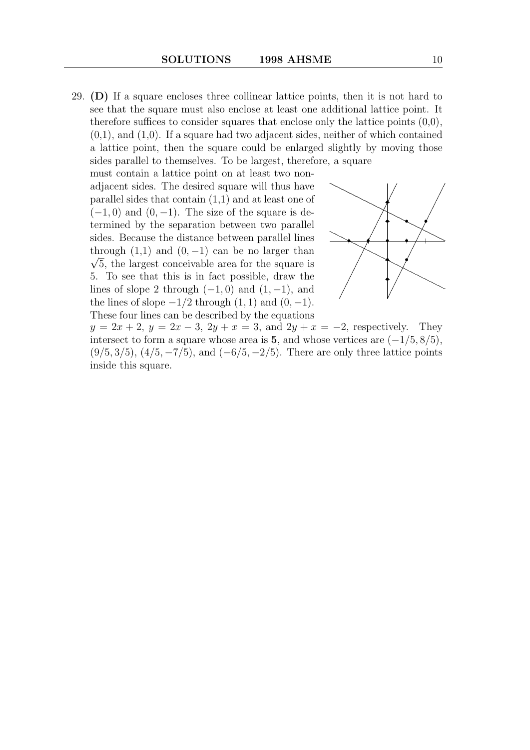29. (D) If a square encloses three collinear lattice points, then it is not hard to see that the square must also enclose at least one additional lattice point. It therefore suffices to consider squares that enclose only the lattice points  $(0,0)$ ,  $(0,1)$ , and  $(1,0)$ . If a square had two adjacent sides, neither of which contained a lattice point, then the square could be enlarged slightly by moving those sides parallel to themselves. To be largest, therefore, a square

must contain a lattice point on at least two nonadjacent sides. The desired square will thus have parallel sides that contain (1,1) and at least one of  $(-1, 0)$  and  $(0, -1)$ . The size of the square is determined by the separation between two parallel sides. Because the distance between parallel lines through  $(1,1)$  and  $(0,-1)$  can be no larger than  $\sqrt{5}$ , the largest conceivable area for the square is 5. To see that this is in fact possible, draw the lines of slope 2 through  $(-1, 0)$  and  $(1, -1)$ , and the lines of slope  $-1/2$  through  $(1, 1)$  and  $(0, -1)$ . These four lines can be described by the equations



 $y = 2x + 2$ ,  $y = 2x - 3$ ,  $2y + x = 3$ , and  $2y + x = -2$ , respectively. They intersect to form a square whose area is 5, and whose vertices are  $(-1/5, 8/5)$ ,  $(9/5, 3/5), (4/5, -7/5),$  and  $(-6/5, -2/5)$ . There are only three lattice points inside this square.